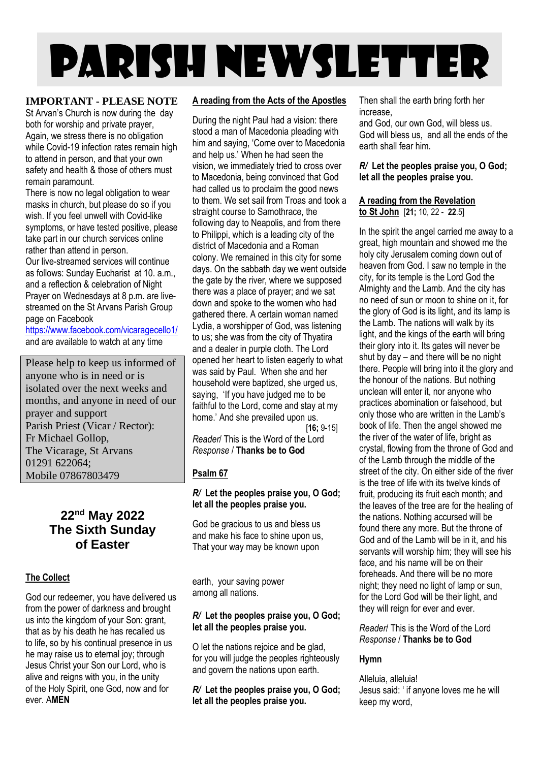# PARISH NEWSLETTER

## **IMPORTANT - PLEASE NOTE**

St Arvan's Church is now during the day both for worship and private prayer, Again, we stress there is no obligation while Covid-19 infection rates remain high to attend in person, and that your own safety and health & those of others must remain paramount.

There is now no legal obligation to wear masks in church, but please do so if you wish. If you feel unwell with Covid-like symptoms, or have tested positive, please take part in our church services online rather than attend in person.

Our live-streamed services will continue as follows: Sunday Eucharist at 10. a.m., and a reflection & celebration of Night Prayer on Wednesdays at 8 p.m. are livestreamed on the St Arvans Parish Group page on Facebook

<https://www.facebook.com/vicaragecello1/> and are available to watch at any time

Please help to keep us informed of anyone who is in need or is isolated over the next weeks and months, and anyone in need of our prayer and support Parish Priest (Vicar / Rector): Fr Michael Gollop, The Vicarage, St Arvans 01291 622064; Mobile 07867803479

## **22nd May 2022 The Sixth Sunday of Easter**

## **The Collect**

God our redeemer, you have delivered us from the power of darkness and brought us into the kingdom of your Son: grant, that as by his death he has recalled us to life, so by his continual presence in us he may raise us to eternal joy; through Jesus Christ your Son our Lord, who is alive and reigns with you, in the unity of the Holy Spirit, one God, now and for ever. A**MEN**

## **A reading from the Acts of the Apostles**

During the night Paul had a vision: there stood a man of Macedonia pleading with him and saying, 'Come over to Macedonia and help us.' When he had seen the vision, we immediately tried to cross over to Macedonia, being convinced that God had called us to proclaim the good news to them. We set sail from Troas and took a straight course to Samothrace, the following day to Neapolis, and from there to Philippi, which is a leading city of the district of Macedonia and a Roman colony. We remained in this city for some days. On the sabbath day we went outside the gate by the river, where we supposed there was a place of prayer; and we sat down and spoke to the women who had gathered there. A certain woman named Lydia, a worshipper of God, was listening to us; she was from the city of Thyatira and a dealer in purple cloth. The Lord opened her heart to listen eagerly to what was said by Paul. When she and her household were baptized, she urged us, saying, 'If you have judged me to be faithful to the Lord, come and stay at my home.' And she prevailed upon us.

 [**16;** 9-15] *Reader*/ This is the Word of the Lord *Response* / **Thanks be to God**

## **Psalm 67**

## *R/* **Let the peoples praise you, O God; let all the peoples praise you.**

God be gracious to us and bless us and make his face to shine upon us, That your way may be known upon

earth, your saving power among all nations.

#### *R/* **Let the peoples praise you, O God; let all the peoples praise you.**

O let the nations rejoice and be glad, for you will judge the peoples righteously and govern the nations upon earth.

*R/* **Let the peoples praise you, O God; let all the peoples praise you.**

Then shall the earth bring forth her increase,

and God, our own God, will bless us. God will bless us, and all the ends of the earth shall fear him.

#### *R/* **Let the peoples praise you, O God; let all the peoples praise you.**

## **A reading from the Revelation to St John** [**21;** 10, 22 - **22**.5]

In the spirit the angel carried me away to a great, high mountain and showed me the holy city Jerusalem coming down out of heaven from God. I saw no temple in the city, for its temple is the Lord God the Almighty and the Lamb. And the city has no need of sun or moon to shine on it, for the glory of God is its light, and its lamp is the Lamb. The nations will walk by its light, and the kings of the earth will bring their glory into it. Its gates will never be shut by day – and there will be no night there. People will bring into it the glory and the honour of the nations. But nothing unclean will enter it, nor anyone who practices abomination or falsehood, but only those who are written in the Lamb's book of life. Then the angel showed me the river of the water of life, bright as crystal, flowing from the throne of God and of the Lamb through the middle of the street of the city. On either side of the river is the tree of life with its twelve kinds of fruit, producing its fruit each month; and the leaves of the tree are for the healing of the nations. Nothing accursed will be found there any more. But the throne of God and of the Lamb will be in it, and his servants will worship him; they will see his face, and his name will be on their foreheads. And there will be no more night; they need no light of lamp or sun, for the Lord God will be their light, and they will reign for ever and ever.

*Reader*/ This is the Word of the Lord *Response* / **Thanks be to God**

## **Hymn**

Alleluia, alleluia! Jesus said: ' if anyone loves me he will keep my word,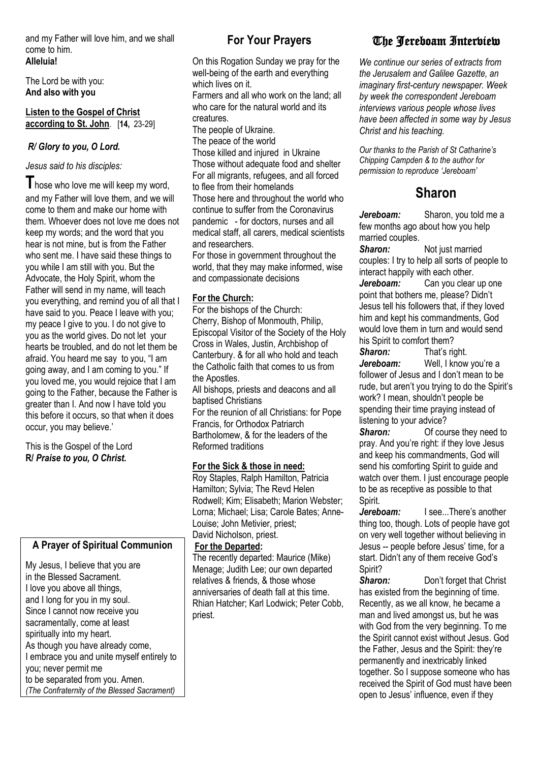#### and my Father will love him, and we shall come to him. **Alleluia!**

The Lord be with you: **And also with you**

**Listen to the Gospel of Christ according to St. John**. [**14,** 23-29]

## *R/ Glory to you, O Lord.*

## *Jesus said to his disciples:*

**T**hose who love me will keep my word, and my Father will love them, and we will come to them and make our home with them. Whoever does not love me does not keep my words; and the word that you hear is not mine, but is from the Father who sent me. I have said these things to you while I am still with you. But the Advocate, the Holy Spirit, whom the Father will send in my name, will teach you everything, and remind you of all that I have said to you. Peace I leave with you; my peace I give to you. I do not give to you as the world gives. Do not let your hearts be troubled, and do not let them be afraid. You heard me say to you, "I am going away, and I am coming to you." If you loved me, you would rejoice that I am going to the Father, because the Father is greater than I. And now I have told you this before it occurs, so that when it does occur, you may believe.'

This is the Gospel of the Lord **R/** *Praise to you, O Christ.*

## **A Prayer of Spiritual Communion**

My Jesus, I believe that you are in the Blessed Sacrament. I love you above all things, and I long for you in my soul. Since I cannot now receive you sacramentally, come at least spiritually into my heart. As though you have already come, I embrace you and unite myself entirely to you; never permit me to be separated from you. Amen. *(The Confraternity of the Blessed Sacrament)*

# **For Your Prayers**

On this Rogation Sunday we pray for the well-being of the earth and everything which lives on it.

Farmers and all who work on the land; all who care for the natural world and its creatures.

The people of Ukraine.

The peace of the world

Those killed and injured in Ukraine Those without adequate food and shelter For all migrants, refugees, and all forced

to flee from their homelands Those here and throughout the world who continue to suffer from the Coronavirus

pandemic - for doctors, nurses and all medical staff, all carers, medical scientists and researchers.

For those in government throughout the world, that they may make informed, wise and compassionate decisions

## **For the Church:**

For the bishops of the Church: Cherry, Bishop of Monmouth, Philip, Episcopal Visitor of the Society of the Holy Cross in Wales, Justin, Archbishop of Canterbury. & for all who hold and teach the Catholic faith that comes to us from the Apostles.

All bishops, priests and deacons and all baptised Christians

For the reunion of all Christians: for Pope Francis, for Orthodox Patriarch Bartholomew, & for the leaders of the Reformed traditions

## **For the Sick & those in need:**

Roy Staples, Ralph Hamilton, Patricia Hamilton; Sylvia; The Revd Helen Rodwell; Kim; Elisabeth; Marion Webster; Lorna; Michael; Lisa; Carole Bates; Anne-Louise; John Metivier, priest; David Nicholson, priest.

## **For the Departed:**

The recently departed: Maurice (Mike) Menage; Judith Lee; our own departed relatives & friends, & those whose anniversaries of death fall at this time. Rhian Hatcher; Karl Lodwick; Peter Cobb, priest.

# The Jereboam Interview

*We continue our series of extracts from the Jerusalem and Galilee Gazette, an imaginary first-century newspaper. Week by week the correspondent Jereboam interviews various people whose lives have been affected in some way by Jesus Christ and his teaching.*

*Our thanks to the Parish of St Catharine's Chipping Campden & to the author for permission to reproduce 'Jereboam'*

# **Sharon**

*Jereboam:* Sharon, you told me a few months ago about how you help married couples.

**Sharon:** Not just married couples: I try to help all sorts of people to interact happily with each other.

*Jereboam:* Can you clear up one point that bothers me, please? Didn't Jesus tell his followers that, if they loved him and kept his commandments, God would love them in turn and would send his Spirit to comfort them?<br>**Sharon:** That's riv

That's right. *Jereboam:* Well, I know you're a follower of Jesus and I don't mean to be rude, but aren't you trying to do the Spirit's work? I mean, shouldn't people be spending their time praying instead of listening to your advice?

**Sharon:** Of course they need to pray. And you're right: if they love Jesus and keep his commandments, God will send his comforting Spirit to guide and watch over them. I just encourage people to be as receptive as possible to that Spirit.

*Jereboam:* I see...There's another thing too, though. Lots of people have got on very well together without believing in Jesus -- people before Jesus' time, for a start. Didn't any of them receive God's Spirit?

**Sharon:** Don't forget that Christ has existed from the beginning of time. Recently, as we all know, he became a man and lived amongst us, but he was with God from the very beginning. To me the Spirit cannot exist without Jesus. God the Father, Jesus and the Spirit: they're permanently and inextricably linked together. So I suppose someone who has received the Spirit of God must have been open to Jesus' influence, even if they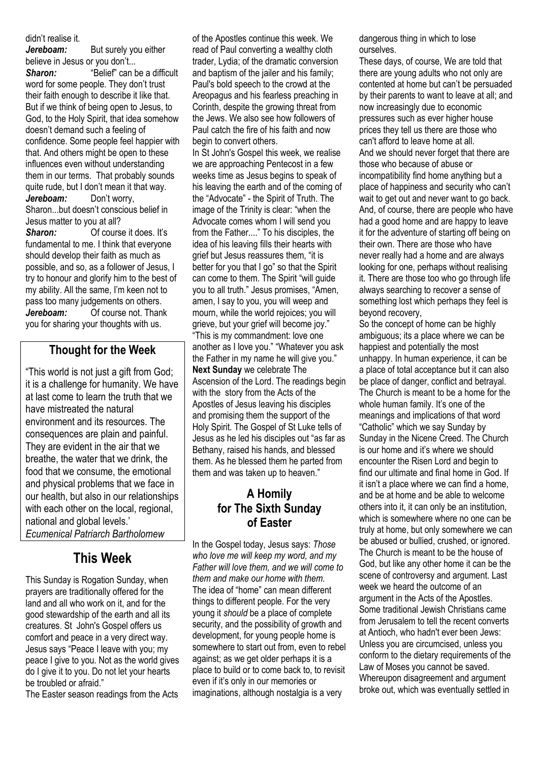didn't realise it.

*Jereboam:* But surely you either believe in Jesus or you don't... **Sharon:** "Belief" can be a difficult word for some people. They don't trust their faith enough to describe it like that. But if we think of being open to Jesus, to God, to the Holy Spirit, that idea somehow doesn't demand such a feeling of confidence. Some people feel happier with that. And others might be open to these influences even without understanding them in our terms. That probably sounds quite rude, but I don't mean it that way. *Jereboam:* Don't worry, Sharon...but doesn't conscious belief in Jesus matter to you at all? **Sharon:** Of course it does. It's fundamental to me. I think that everyone should develop their faith as much as possible, and so, as a follower of Jesus, I try to honour and glorify him to the best of my ability. All the same, I'm keen not to pass too many judgements on others. *Jereboam:* Of course not. Thank you for sharing your thoughts with us.

## **Thought for the Week**

"This world is not just a gift from God; it is a challenge for humanity. We have at last come to learn the truth that we have mistreated the natural environment and its resources. The consequences are plain and painful. They are evident in the air that we breathe, the water that we drink, the food that we consume, the emotional and physical problems that we face in our health, but also in our relationships with each other on the local, regional, national and global levels.' *Ecumenical Patriarch Bartholomew* 

# **This Week**

This Sunday is Rogation Sunday, when prayers are traditionally offered for the land and all who work on it, and for the good stewardship of the earth and all its creatures. St John's Gospel offers us comfort and peace in a very direct way. Jesus says "Peace I leave with you; my peace I give to you. Not as the world gives do I give it to you. Do not let your hearts be troubled or afraid."

The Easter season readings from the Acts

of the Apostles continue this week. We read of Paul converting a wealthy cloth trader, Lydia; of the dramatic conversion and baptism of the jailer and his family; Paul's bold speech to the crowd at the Areopagus and his fearless preaching in Corinth, despite the growing threat from the Jews. We also see how followers of Paul catch the fire of his faith and now begin to convert others.

In St John's Gospel this week, we realise we are approaching Pentecost in a few weeks time as Jesus begins to speak of his leaving the earth and of the coming of the "Advocate" - the Spirit of Truth. The image of the Trinity is clear: "when the Advocate comes whom I will send you from the Father...." To his disciples, the idea of his leaving fills their hearts with grief but Jesus reassures them, "it is better for you that I go" so that the Spirit can come to them. The Spirit "will guide you to all truth." Jesus promises, "Amen, amen, I say to you, you will weep and mourn, while the world rejoices; you will grieve, but your grief will become joy." "This is my commandment: love one another as I love you." "Whatever you ask the Father in my name he will give you." **Next Sunday** we celebrate The Ascension of the Lord. The readings begin with the story from the Acts of the Apostles of Jesus leaving his disciples and promising them the support of the Holy Spirit. The Gospel of St Luke tells of Jesus as he led his disciples out "as far as Bethany, raised his hands, and blessed them. As he blessed them he parted from them and was taken up to heaven."

## **A Homily for The Sixth Sunday of Easter**

In the Gospel today, Jesus says: *Those who love me will keep my word, and my Father will love them, and we will come to them and make our home with them.* The idea of "home" can mean different things to different people. For the very young it *should* be a place of complete security, and the possibility of growth and development, for young people home is somewhere to start out from, even to rebel against; as we get older perhaps it is a place to build or to come back to, to revisit even if it's only in our memories or imaginations, although nostalgia is a very

dangerous thing in which to lose ourselves.

These days, of course, We are told that there are young adults who not only are contented at home but can't be persuaded by their parents to want to leave at all; and now increasingly due to economic pressures such as ever higher house prices they tell us there are those who can't afford to leave home at all. And we should never forget that there are those who because of abuse or incompatibility find home anything but a place of happiness and security who can't wait to get out and never want to go back. And, of course, there are people who have had a good home and are happy to leave it for the adventure of starting off being on their own. There are those who have never really had a home and are always looking for one, perhaps without realising it. There are those too who go through life always searching to recover a sense of something lost which perhaps they feel is beyond recovery,

So the concept of home can be highly ambiguous; its a place where we can be happiest and potentially the most unhappy. In human experience, it can be a place of total acceptance but it can also be place of danger, conflict and betrayal. The Church is meant to be a home for the whole human family. It's one of the meanings and implications of that word "Catholic" which we say Sunday by Sunday in the Nicene Creed. The Church is our home and it's where we should encounter the Risen Lord and begin to find our ultimate and final home in God. If it isn't a place where we can find a home, and be at home and be able to welcome others into it, it can only be an institution, which is somewhere where no one can be truly at home, but only somewhere we can be abused or bullied, crushed, or ignored. The Church is meant to be the house of God, but like any other home it can be the scene of controversy and argument. Last week we heard the outcome of an argument in the Acts of the Apostles. Some traditional Jewish Christians came from Jerusalem to tell the recent converts at Antioch, who hadn't ever been Jews: Unless you are circumcised, unless you conform to the dietary requirements of the Law of Moses you cannot be saved. Whereupon disagreement and argument broke out, which was eventually settled in